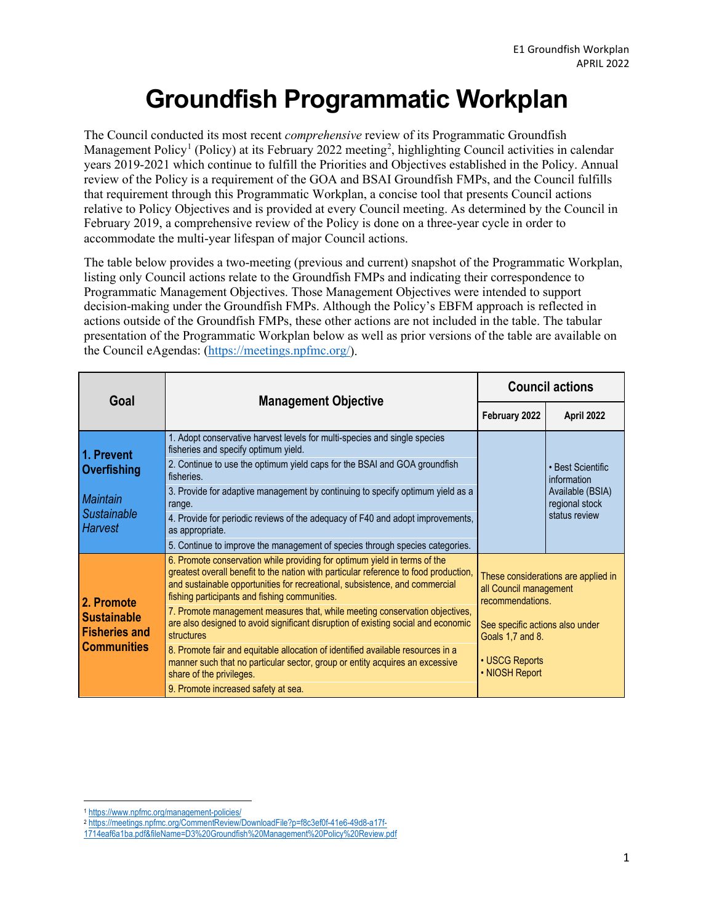## **Groundfish Programmatic Workplan**

The Council conducted its most recent *comprehensive* review of its Programmatic Groundfish Management Policy<sup>[1](#page-0-0)</sup> (Policy) at its February [2](#page-0-1)022 meeting<sup>2</sup>, highlighting Council activities in calendar years 2019-2021 which continue to fulfill the Priorities and Objectives established in the Policy. Annual review of the Policy is a requirement of the GOA and BSAI Groundfish FMPs, and the Council fulfills that requirement through this Programmatic Workplan, a concise tool that presents Council actions relative to Policy Objectives and is provided at every Council meeting. As determined by the Council in February 2019, a comprehensive review of the Policy is done on a three-year cycle in order to accommodate the multi-year lifespan of major Council actions.

The table below provides a two-meeting (previous and current) snapshot of the Programmatic Workplan, listing only Council actions relate to the Groundfish FMPs and indicating their correspondence to Programmatic Management Objectives. Those Management Objectives were intended to support decision-making under the Groundfish FMPs. Although the Policy's EBFM approach is reflected in actions outside of the Groundfish FMPs, these other actions are not included in the table. The tabular presentation of the Programmatic Workplan below as well as prior versions of the table are available on the Council eAgendas: [\(https://meetings.npfmc.org/\)](https://meetings.npfmc.org/).

| Goal                                                                           | <b>Management Objective</b>                                                                                                                                                                                                                                                                                                                                                                                                                                                                                                                                                                                                                            | <b>Council actions</b>                                                                                                                                                       |                                                                                         |
|--------------------------------------------------------------------------------|--------------------------------------------------------------------------------------------------------------------------------------------------------------------------------------------------------------------------------------------------------------------------------------------------------------------------------------------------------------------------------------------------------------------------------------------------------------------------------------------------------------------------------------------------------------------------------------------------------------------------------------------------------|------------------------------------------------------------------------------------------------------------------------------------------------------------------------------|-----------------------------------------------------------------------------------------|
|                                                                                |                                                                                                                                                                                                                                                                                                                                                                                                                                                                                                                                                                                                                                                        | February 2022                                                                                                                                                                | April 2022                                                                              |
| 1. Prevent<br>Overfishing                                                      | 1. Adopt conservative harvest levels for multi-species and single species<br>fisheries and specify optimum yield.<br>2. Continue to use the optimum yield caps for the BSAI and GOA groundfish<br>fisheries.                                                                                                                                                                                                                                                                                                                                                                                                                                           |                                                                                                                                                                              | • Best Scientific<br>information<br>Available (BSIA)<br>regional stock<br>status review |
| <b>Maintain</b><br><b>Sustainable</b><br><b>Harvest</b>                        | 3. Provide for adaptive management by continuing to specify optimum yield as a<br>range.<br>4. Provide for periodic reviews of the adequacy of F40 and adopt improvements,<br>as appropriate.<br>5. Continue to improve the management of species through species categories.                                                                                                                                                                                                                                                                                                                                                                          |                                                                                                                                                                              |                                                                                         |
| 2. Promote<br><b>Sustainable</b><br><b>Fisheries and</b><br><b>Communities</b> | 6. Promote conservation while providing for optimum yield in terms of the<br>greatest overall benefit to the nation with particular reference to food production,<br>and sustainable opportunities for recreational, subsistence, and commercial<br>fishing participants and fishing communities.<br>7. Promote management measures that, while meeting conservation objectives,<br>are also designed to avoid significant disruption of existing social and economic<br>structures<br>8. Promote fair and equitable allocation of identified available resources in a<br>manner such that no particular sector, group or entity acquires an excessive | These considerations are applied in<br>all Council management<br>recommendations.<br>See specific actions also under<br>Goals 1,7 and 8.<br>• USCG Reports<br>• NIOSH Report |                                                                                         |
|                                                                                | share of the privileges.<br>9. Promote increased safety at sea.                                                                                                                                                                                                                                                                                                                                                                                                                                                                                                                                                                                        |                                                                                                                                                                              |                                                                                         |

<span id="page-0-0"></span><sup>1</sup> <https://www.npfmc.org/management-policies/>

<span id="page-0-1"></span><sup>2</sup> [https://meetings.npfmc.org/CommentReview/DownloadFile?p=f8c3ef0f-41e6-49d8-a17f-](https://meetings.npfmc.org/CommentReview/DownloadFile?p=f8c3ef0f-41e6-49d8-a17f-1714eaf6a1ba.pdf&fileName=D3%20Groundfish%20Management%20Policy%20Review.pdf)

[<sup>1714</sup>eaf6a1ba.pdf&fileName=D3%20Groundfish%20Management%20Policy%20Review.pdf](https://meetings.npfmc.org/CommentReview/DownloadFile?p=f8c3ef0f-41e6-49d8-a17f-1714eaf6a1ba.pdf&fileName=D3%20Groundfish%20Management%20Policy%20Review.pdf)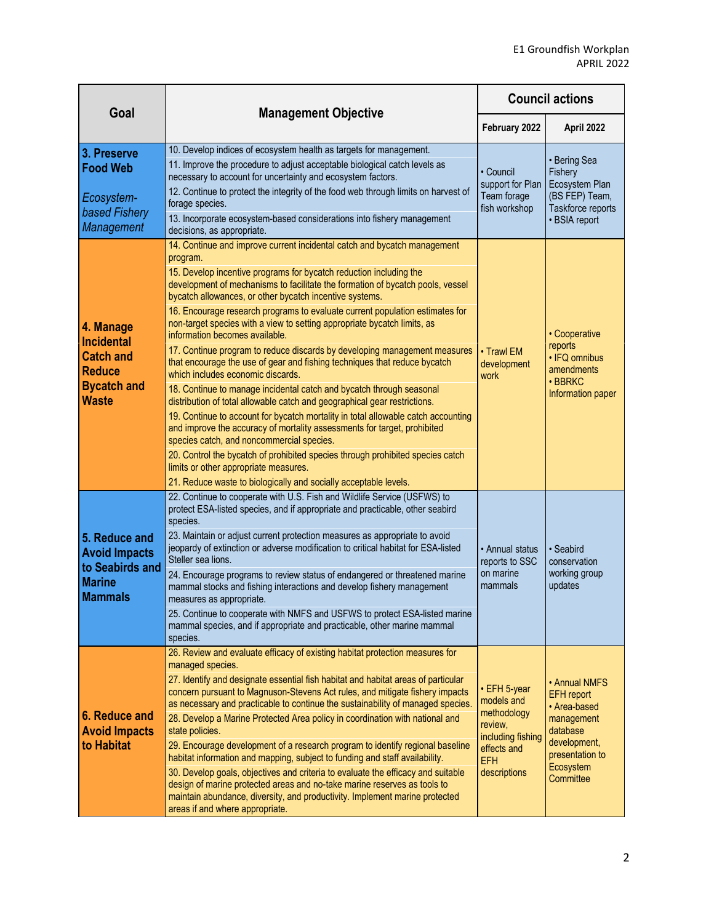| Goal                                                                                                      | <b>Management Objective</b>                                                                                                                                                                                                                                                                                                                                                                                                                                                                                                                                                                                                                                                                                                                                                                                                                                                                                                                                                                                                                                                                                                                                                                                                                                            | <b>Council actions</b>                                                                                                 |                                                                                                                                           |
|-----------------------------------------------------------------------------------------------------------|------------------------------------------------------------------------------------------------------------------------------------------------------------------------------------------------------------------------------------------------------------------------------------------------------------------------------------------------------------------------------------------------------------------------------------------------------------------------------------------------------------------------------------------------------------------------------------------------------------------------------------------------------------------------------------------------------------------------------------------------------------------------------------------------------------------------------------------------------------------------------------------------------------------------------------------------------------------------------------------------------------------------------------------------------------------------------------------------------------------------------------------------------------------------------------------------------------------------------------------------------------------------|------------------------------------------------------------------------------------------------------------------------|-------------------------------------------------------------------------------------------------------------------------------------------|
|                                                                                                           |                                                                                                                                                                                                                                                                                                                                                                                                                                                                                                                                                                                                                                                                                                                                                                                                                                                                                                                                                                                                                                                                                                                                                                                                                                                                        | February 2022                                                                                                          | April 2022                                                                                                                                |
| 3. Preserve<br><b>Food Web</b><br>Ecosystem-<br>based Fishery<br>Management                               | 10. Develop indices of ecosystem health as targets for management.<br>11. Improve the procedure to adjust acceptable biological catch levels as<br>necessary to account for uncertainty and ecosystem factors.<br>12. Continue to protect the integrity of the food web through limits on harvest of<br>forage species.<br>13. Incorporate ecosystem-based considerations into fishery management<br>decisions, as appropriate.                                                                                                                                                                                                                                                                                                                                                                                                                                                                                                                                                                                                                                                                                                                                                                                                                                        | • Council<br>support for Plan<br>Team forage<br>fish workshop                                                          | • Bering Sea<br>Fishery<br>Ecosystem Plan<br>(BS FEP) Team,<br>Taskforce reports<br>• BSIA report                                         |
| 4. Manage<br><b>Incidental</b><br><b>Catch and</b><br><b>Reduce</b><br><b>Bycatch and</b><br><b>Waste</b> | 14. Continue and improve current incidental catch and bycatch management<br>program.<br>15. Develop incentive programs for bycatch reduction including the<br>development of mechanisms to facilitate the formation of bycatch pools, vessel<br>bycatch allowances, or other bycatch incentive systems.<br>16. Encourage research programs to evaluate current population estimates for<br>non-target species with a view to setting appropriate bycatch limits, as<br>information becomes available.<br>17. Continue program to reduce discards by developing management measures<br>that encourage the use of gear and fishing techniques that reduce bycatch<br>which includes economic discards.<br>18. Continue to manage incidental catch and bycatch through seasonal<br>distribution of total allowable catch and geographical gear restrictions.<br>19. Continue to account for bycatch mortality in total allowable catch accounting<br>and improve the accuracy of mortality assessments for target, prohibited<br>species catch, and noncommercial species.<br>20. Control the bycatch of prohibited species through prohibited species catch<br>limits or other appropriate measures.<br>21. Reduce waste to biologically and socially acceptable levels. | • Trawl EM<br>development<br>work                                                                                      | • Cooperative<br>reports<br>• IFQ omnibus<br>amendments<br>· BBRKC<br>Information paper                                                   |
| 5. Reduce and<br><b>Avoid Impacts</b><br>to Seabirds and<br><b>Marine</b><br><b>Mammals</b>               | 22. Continue to cooperate with U.S. Fish and Wildlife Service (USFWS) to<br>protect ESA-listed species, and if appropriate and practicable, other seabird<br>species.<br>23. Maintain or adjust current protection measures as appropriate to avoid<br>jeopardy of extinction or adverse modification to critical habitat for ESA-listed<br>Steller sea lions.<br>24. Encourage programs to review status of endangered or threatened marine<br>mammal stocks and fishing interactions and develop fishery management<br>measures as appropriate.<br>25. Continue to cooperate with NMFS and USFWS to protect ESA-listed marine<br>mammal species, and if appropriate and practicable, other marine mammal<br>species.                                                                                                                                                                                                                                                                                                                                                                                                                                                                                                                                                 | • Annual status<br>reports to SSC<br>on marine<br>mammals                                                              | • Seabird<br>conservation<br>working group<br>updates                                                                                     |
| 6. Reduce and<br><b>Avoid Impacts</b><br>to Habitat                                                       | 26. Review and evaluate efficacy of existing habitat protection measures for<br>managed species.<br>27. Identify and designate essential fish habitat and habitat areas of particular<br>concern pursuant to Magnuson-Stevens Act rules, and mitigate fishery impacts<br>as necessary and practicable to continue the sustainability of managed species.<br>28. Develop a Marine Protected Area policy in coordination with national and<br>state policies.<br>29. Encourage development of a research program to identify regional baseline<br>habitat information and mapping, subject to funding and staff availability.<br>30. Develop goals, objectives and criteria to evaluate the efficacy and suitable<br>design of marine protected areas and no-take marine reserves as tools to<br>maintain abundance, diversity, and productivity. Implement marine protected<br>areas if and where appropriate.                                                                                                                                                                                                                                                                                                                                                          | • EFH 5-year<br>models and<br>methodology<br>review,<br>including fishing<br>effects and<br><b>EFH</b><br>descriptions | • Annual NMFS<br><b>EFH</b> report<br>• Area-based<br>management<br>database<br>development,<br>presentation to<br>Ecosystem<br>Committee |